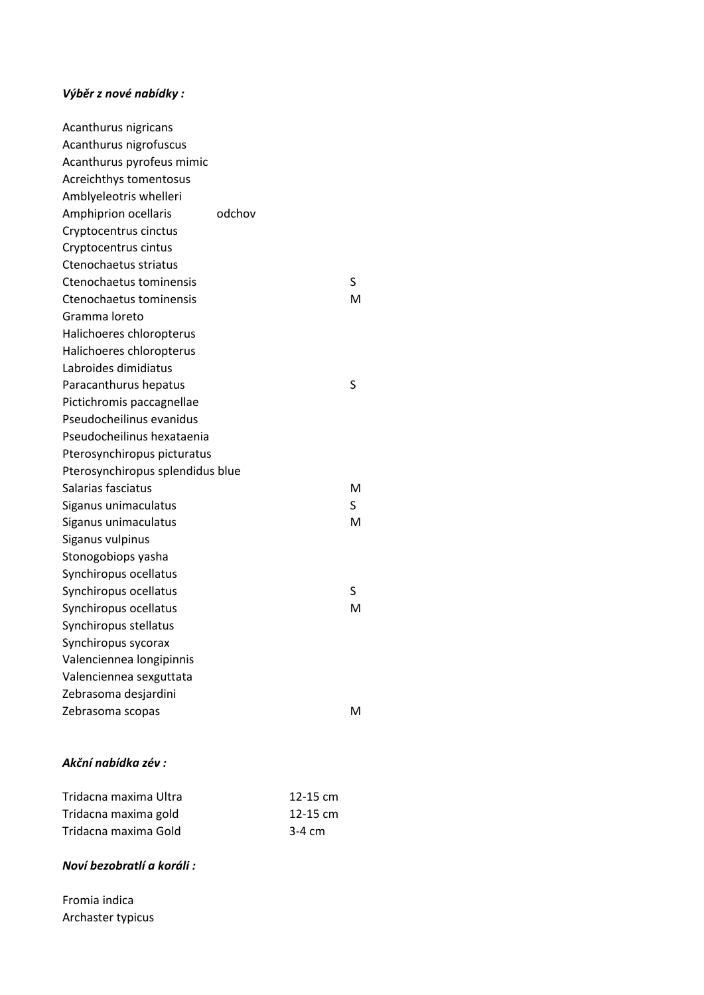## *Výběr z nové nabídky :*

| Acanthurus nigricans             |        |          |    |
|----------------------------------|--------|----------|----|
| Acanthurus nigrofuscus           |        |          |    |
| Acanthurus pyrofeus mimic        |        |          |    |
| Acreichthys tomentosus           |        |          |    |
| Amblyeleotris whelleri           |        |          |    |
| Amphiprion ocellaris             | odchov |          |    |
| Cryptocentrus cinctus            |        |          |    |
| Cryptocentrus cintus             |        |          |    |
| Ctenochaetus striatus            |        |          |    |
| Ctenochaetus tominensis          |        |          | S  |
| Ctenochaetus tominensis          |        |          | м  |
| Gramma loreto                    |        |          |    |
| Halichoeres chloropterus         |        |          |    |
| Halichoeres chloropterus         |        |          |    |
| Labroides dimidiatus             |        |          |    |
| Paracanthurus hepatus            |        |          | S  |
| Pictichromis paccagnellae        |        |          |    |
| Pseudocheilinus evanidus         |        |          |    |
| Pseudocheilinus hexataenia       |        |          |    |
| Pterosynchiropus picturatus      |        |          |    |
| Pterosynchiropus splendidus blue |        |          |    |
| Salarias fasciatus               |        |          | м  |
| Siganus unimaculatus             |        |          | S. |
| Siganus unimaculatus             |        |          | м  |
| Siganus vulpinus                 |        |          |    |
| Stonogobiops yasha               |        |          |    |
| Synchiropus ocellatus            |        |          |    |
| Synchiropus ocellatus            |        |          | S  |
| Synchiropus ocellatus            |        |          | м  |
| Synchiropus stellatus            |        |          |    |
| Synchiropus sycorax              |        |          |    |
| Valenciennea longipinnis         |        |          |    |
| Valenciennea sexguttata          |        |          |    |
| Zebrasoma desjardini             |        |          |    |
| Zebrasoma scopas                 |        |          | м  |
| Akční nabídka zév:               |        |          |    |
| Tridacna maxima Ultra            |        | 12-15 cm |    |
| Tridacna maxima gold             |        | 12-15 cm |    |

## dacna maxima gold Tridacna maxima Gold 3-4 cm

## *Noví bezobratlí a koráli :*

Fromia indica Archaster typicus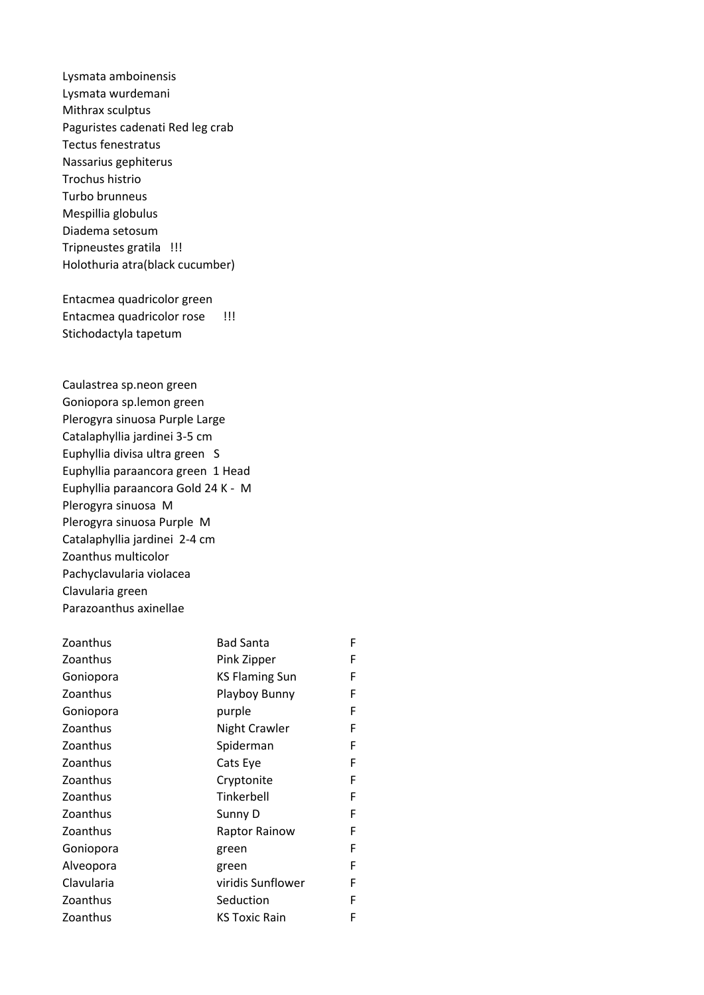Lysmata amboinensis Lysmata wurdemani Mithrax sculptus Paguristes cadenati Red leg crab Tectus fenestratus Nassarius gephiterus Trochus histrio Turbo brunneus Mespillia globulus Diadema setosum Tripneustes gratila !!! Holothuria atra(black cucumber)

Entacmea quadricolor green Entacmea quadricolor rose !!! Stichodactyla tapetum

Caulastrea sp.neon green Goniopora sp.lemon green Plerogyra sinuosa Purple Large Catalaphyllia jardinei 3-5 cm Euphyllia divisa ultra green S Euphyllia paraancora green 1 Head Euphyllia paraancora Gold 24 K - M Plerogyra sinuosa M Plerogyra sinuosa Purple M Catalaphyllia jardinei 2-4 cm Zoanthus multicolor Pachyclavularia violacea Clavularia green Parazoanthus axinellae

| Zoanthus   | <b>Bad Santa</b>      | F |
|------------|-----------------------|---|
| Zoanthus   | Pink Zipper           | F |
| Goniopora  | <b>KS Flaming Sun</b> | F |
| Zoanthus   | Playboy Bunny         | F |
| Goniopora  | purple                | F |
| Zoanthus   | <b>Night Crawler</b>  | F |
| Zoanthus   | Spiderman             | F |
| Zoanthus   | Cats Eye              | F |
| Zoanthus   | Cryptonite            | F |
| Zoanthus   | Tinkerbell            | F |
| Zoanthus   | Sunny D               | F |
| Zoanthus   | Raptor Rainow         | F |
| Goniopora  | green                 | F |
| Alveopora  | green                 | F |
| Clavularia | viridis Sunflower     | F |
| Zoanthus   | Seduction             | F |
| Zoanthus   | <b>KS Toxic Rain</b>  | F |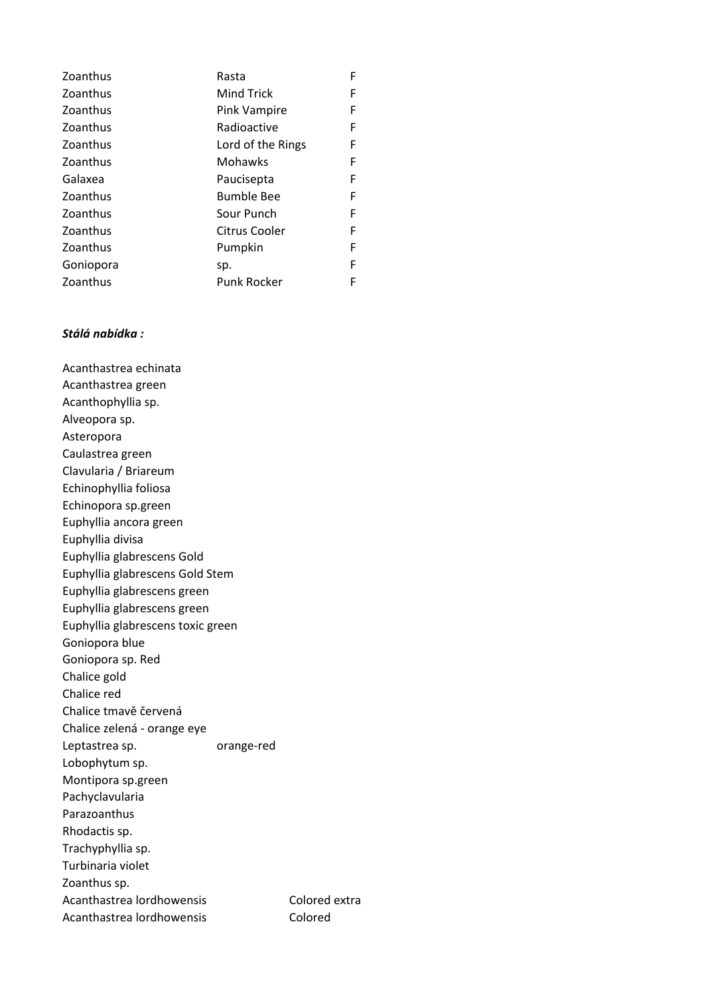| Zoanthus  | Rasta              | F |
|-----------|--------------------|---|
| Zoanthus  | <b>Mind Trick</b>  | F |
| Zoanthus  | Pink Vampire       | F |
| Zoanthus  | Radioactive        | F |
| Zoanthus  | Lord of the Rings  | F |
| Zoanthus  | Mohawks            | F |
| Galaxea   | Paucisepta         | F |
| Zoanthus  | <b>Bumble Bee</b>  | F |
| Zoanthus  | Sour Punch         | F |
| Zoanthus  | Citrus Cooler      | F |
| Zoanthus  | Pumpkin            | F |
| Goniopora | sp.                | F |
| Zoanthus  | <b>Punk Rocker</b> | F |

## *Stálá nabídka :*

Acanthastrea echinata Acanthastrea green Acanthophyllia sp. Alveopora sp. Asteropora Caulastrea green Clavularia / Briareum Echinophyllia foliosa Echinopora sp.green Euphyllia ancora green Euphyllia divisa Euphyllia glabrescens Gold Euphyllia glabrescens Gold Stem Euphyllia glabrescens green Euphyllia glabrescens green Euphyllia glabrescens toxic green Goniopora blue Goniopora sp. Red Chalice gold Chalice red Chalice tmavě červená Chalice zelená - orange eye Leptastrea sp. block orange-red Lobophytum sp. Montipora sp.green Pachyclavularia Parazoanthus Rhodactis sp. Trachyphyllia sp. Turbinaria violet Zoanthus sp. Acanthastrea lordhowensis Colored extra Acanthastrea lordhowensis Colored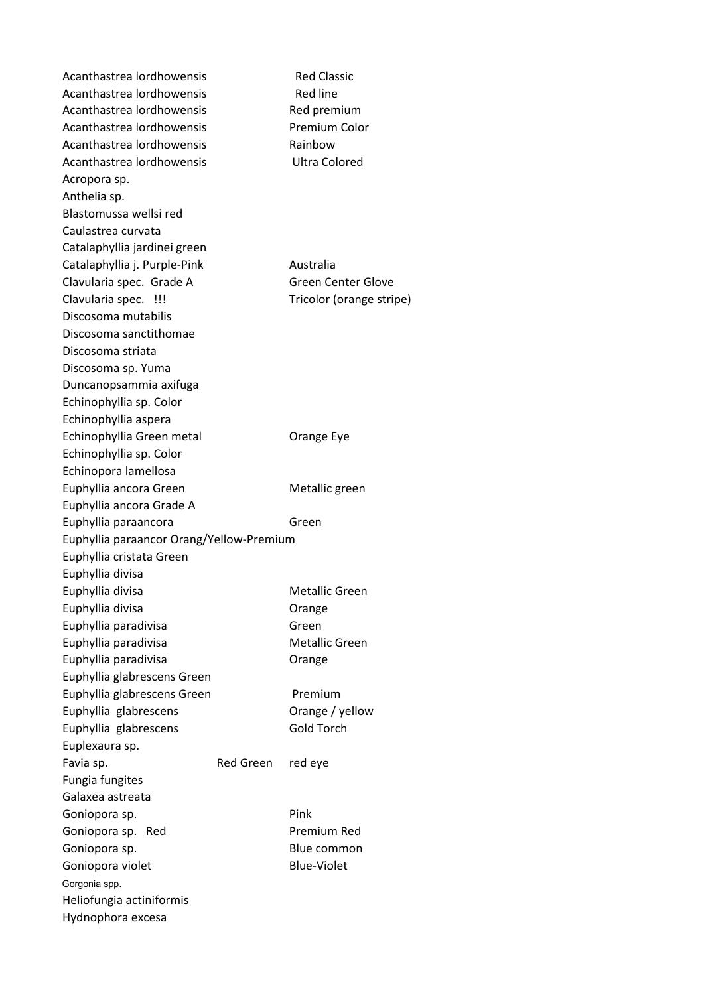Acanthastrea lordhowensis Red Classic Acanthastrea lordhowensis Red line Acanthastrea lordhowensis Red premium Acanthastrea lordhowensis Premium Color Acanthastrea lordhowensis The Rainbow Acanthastrea lordhowensis **Ultra Colored** Acropora sp. Anthelia sp. Blastomussa wellsi red Caulastrea curvata Catalaphyllia jardinei green Catalaphyllia j. Purple-Pink Mustralia Clavularia spec. Grade A Green Center Glove Clavularia spec. !!! Tricolor (orange stripe) Discosoma mutabilis Discosoma sanctithomae Discosoma striata Discosoma sp. Yuma Duncanopsammia axifuga Echinophyllia sp. Color Echinophyllia aspera Echinophyllia Green metal **Canal Crange Eye** Echinophyllia sp. Color Echinopora lamellosa Euphyllia ancora Green Metallic green Euphyllia ancora Grade A Euphyllia paraancora **Green** Euphyllia paraancor Orang/Yellow-Premium Euphyllia cristata Green Euphyllia divisa Euphyllia divisa and a more in the Metallic Green Euphyllia divisa **Campanyisa Communists** Orange Euphyllia paradivisa Green Euphyllia paradivisa and a mortuus Metallic Green Euphyllia paradivisa **Canadi** Crange Euphyllia glabrescens Green Euphyllia glabrescens Green Premium Euphyllia glabrescens **Canadia Contract Contract Contract Contract Contract Contract Contract Contract Contract Contract Contract Contract Contract Contract Contract Contract Contract Contract Contract Contract Contract Co** Euphyllia glabrescens Gold Torch Euplexaura sp. Favia sp. The Red Green red eye Fungia fungites Galaxea astreata Goniopora sp. **Pink** Goniopora sp. Red Premium Red Goniopora sp. 6. Express of the Blue common Blue common Goniopora violet Blue-Violet Gorgonia spp. Heliofungia actiniformis Hydnophora excesa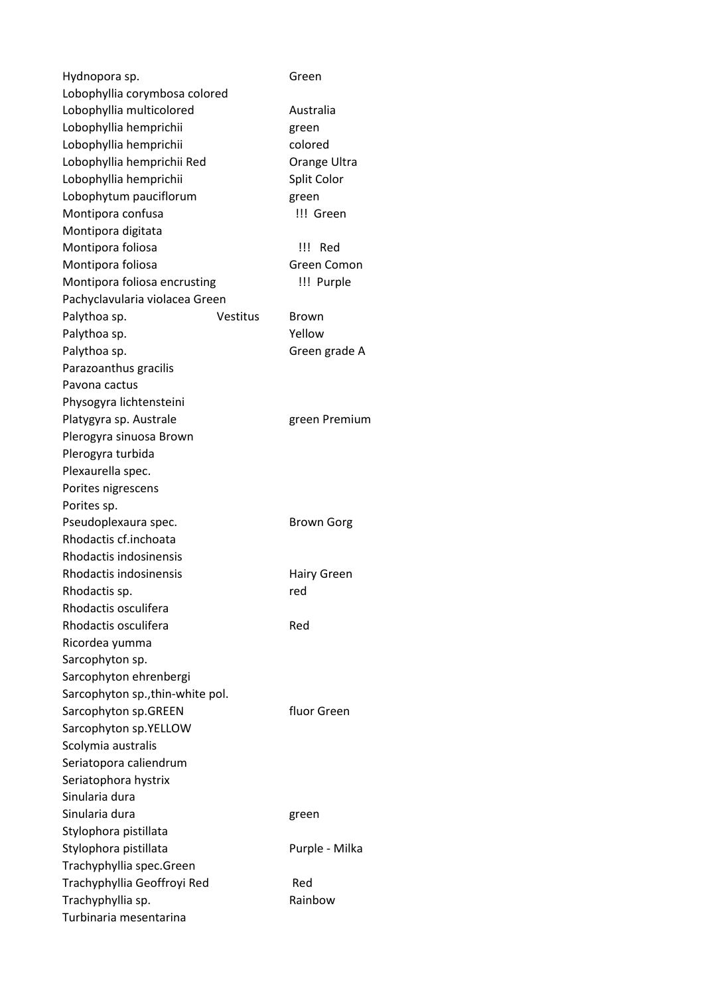| Hydnopora sp.                                 | Green              |
|-----------------------------------------------|--------------------|
| Lobophyllia corymbosa colored                 |                    |
| Lobophyllia multicolored                      | Australia          |
| Lobophyllia hemprichii                        | green              |
| Lobophyllia hemprichii                        | colored            |
| Lobophyllia hemprichii Red                    | Orange Ultra       |
| Lobophyllia hemprichii                        | Split Color        |
| Lobophytum pauciflorum                        | green              |
| Montipora confusa                             | !!! Green          |
| Montipora digitata                            |                    |
| Montipora foliosa                             | !!! Red            |
| Montipora foliosa                             | Green Comon        |
| Montipora foliosa encrusting                  | !!! Purple         |
| Pachyclavularia violacea Green                |                    |
| Palythoa sp.<br><b>Vestitus</b>               | Brown              |
| Palythoa sp.                                  | Yellow             |
| Palythoa sp.                                  | Green grade A      |
| Parazoanthus gracilis                         |                    |
| Pavona cactus                                 |                    |
| Physogyra lichtensteini                       |                    |
| Platygyra sp. Australe                        | green Premium      |
| Plerogyra sinuosa Brown                       |                    |
| Plerogyra turbida                             |                    |
| Plexaurella spec.                             |                    |
| Porites nigrescens                            |                    |
|                                               |                    |
| Porites sp.                                   |                    |
| Pseudoplexaura spec.<br>Rhodactis cf.inchoata | <b>Brown Gorg</b>  |
| Rhodactis indosinensis                        |                    |
|                                               |                    |
| Rhodactis indosinensis                        | <b>Hairy Green</b> |
| Rhodactis sp.                                 | red                |
| Rhodactis osculifera                          |                    |
| Rhodactis osculifera                          | Red                |
| Ricordea yumma                                |                    |
| Sarcophyton sp.                               |                    |
| Sarcophyton ehrenbergi                        |                    |
| Sarcophyton sp., thin-white pol.              |                    |
| Sarcophyton sp.GREEN                          | fluor Green        |
| Sarcophyton sp.YELLOW                         |                    |
| Scolymia australis                            |                    |
| Seriatopora caliendrum                        |                    |
| Seriatophora hystrix                          |                    |
| Sinularia dura                                |                    |
| Sinularia dura                                | green              |
| Stylophora pistillata                         |                    |
| Stylophora pistillata                         | Purple - Milka     |
| Trachyphyllia spec.Green                      |                    |
| Trachyphyllia Geoffroyi Red                   | Red                |
| Trachyphyllia sp.                             | Rainbow            |
| Turbinaria mesentarina                        |                    |